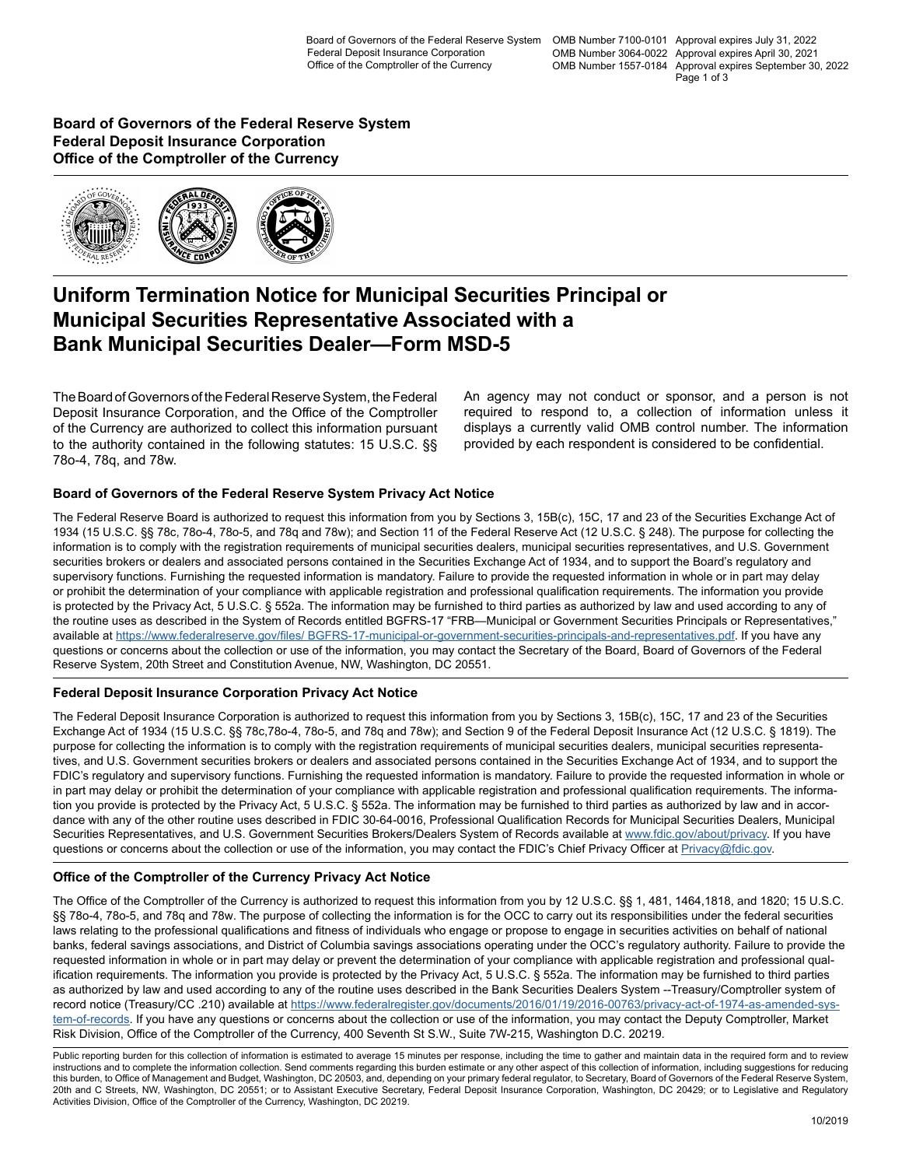Board of Governors of the Federal Reserve System OMB Number 7100-0101 Approval expires July 31, 2022 OMB Number 3064-0022 Approval expires April 30, 2021 OMB Number 1557-0184 Approval expires September 30, 2022 Page 1 of 3

**Board of Governors of the Federal Reserve System Federal Deposit Insurance Corporation Office of the Comptroller of the Currency**



## **Uniform Termination Notice for Municipal Securities Principal or Municipal Securities Representative Associated with a Bank Municipal Securities Dealer—Form MSD-5**

The Board of Governors of the Federal Reserve System, the Federal Deposit Insurance Corporation, and the Office of the Comptroller of the Currency are authorized to collect this information pursuant to the authority contained in the following statutes: 15 U.S.C. §§ 78o-4, 78q, and 78w.

An agency may not conduct or sponsor, and a person is not required to respond to, a collection of information unless it displays a currently valid OMB control number. The information provided by each respondent is considered to be confidential.

### **Board of Governors of the Federal Reserve System Privacy Act Notice**

The Federal Reserve Board is authorized to request this information from you by Sections 3, 15B(c), 15C, 17 and 23 of the Securities Exchange Act of 1934 (15 U.S.C. §§ 78c, 78o-4, 78o-5, and 78q and 78w); and Section 11 of the Federal Reserve Act (12 U.S.C. § 248). The purpose for collecting the information is to comply with the registration requirements of municipal securities dealers, municipal securities representatives, and U.S. Government securities brokers or dealers and associated persons contained in the Securities Exchange Act of 1934, and to support the Board's regulatory and supervisory functions. Furnishing the requested information is mandatory. Failure to provide the requested information in whole or in part may delay or prohibit the determination of your compliance with applicable registration and professional qualification requirements. The information you provide is protected by the Privacy Act, 5 U.S.C. § 552a. The information may be furnished to third parties as authorized by law and used according to any of the routine uses as described in the System of Records entitled BGFRS-17 "FRB—Municipal or Government Securities Principals or Representatives," available at [https://www.federalreserve.gov/files/ BGFRS-17-municipal-or-government-securities-principals-and-representatives.pdf.](https://www.federalreserve.gov/files/BGFRS-17-municipal-or-government-securities-principals-and-representatives.pdf) If you have any questions or concerns about the collection or use of the information, you may contact the Secretary of the Board, Board of Governors of the Federal Reserve System, 20th Street and Constitution Avenue, NW, Washington, DC 20551.

### **Federal Deposit Insurance Corporation Privacy Act Notice**

The Federal Deposit Insurance Corporation is authorized to request this information from you by Sections 3, 15B(c), 15C, 17 and 23 of the Securities Exchange Act of 1934 (15 U.S.C. §§ 78c,78o-4, 78o-5, and 78q and 78w); and Section 9 of the Federal Deposit Insurance Act (12 U.S.C. § 1819). The purpose for collecting the information is to comply with the registration requirements of municipal securities dealers, municipal securities representatives, and U.S. Government securities brokers or dealers and associated persons contained in the Securities Exchange Act of 1934, and to support the FDIC's regulatory and supervisory functions. Furnishing the requested information is mandatory. Failure to provide the requested information in whole or in part may delay or prohibit the determination of your compliance with applicable registration and professional qualification requirements. The information you provide is protected by the Privacy Act, 5 U.S.C. § 552a. The information may be furnished to third parties as authorized by law and in accordance with any of the other routine uses described in FDIC 30-64-0016, Professional Qualification Records for Municipal Securities Dealers, Municipal Securities Representatives, and U.S. Government Securities Brokers/Dealers System of Records available at [www.fdic.gov/about/privacy.](https://www.fdic.gov/about/privacy) If you have questions or concerns about the collection or use of the information, you may contact the FDIC's Chief Privacy Officer at [Privacy@fdic.gov.](mailto:Privacy%40fdic.gov?subject=Form MSD-5 Information Collection)

### **Office of the Comptroller of the Currency Privacy Act Notice**

The Office of the Comptroller of the Currency is authorized to request this information from you by 12 U.S.C. §§ 1, 481, 1464, 1818, and 1820; 15 U.S.C. §§ 78o-4, 78o-5, and 78q and 78w. The purpose of collecting the information is for the OCC to carry out its responsibilities under the federal securities laws relating to the professional qualifications and fitness of individuals who engage or propose to engage in securities activities on behalf of national banks, federal savings associations, and District of Columbia savings associations operating under the OCC's regulatory authority. Failure to provide the requested information in whole or in part may delay or prevent the determination of your compliance with applicable registration and professional qualification requirements. The information you provide is protected by the Privacy Act, 5 U.S.C. § 552a. The information may be furnished to third parties as authorized by law and used according to any of the routine uses described in the Bank Securities Dealers System --Treasury/Comptroller system of record notice (Treasury/CC .210) available at [https://www.federalregister.gov/documents/2016/01/19/2016-00763/privacy-act-of-1974-as-amended-sys](https://www.federalregister.gov/documents/2016/01/19/2016-00763/privacy-act-of-1974-as-amended-system-of-records)[tem-of-records](https://www.federalregister.gov/documents/2016/01/19/2016-00763/privacy-act-of-1974-as-amended-system-of-records). If you have any questions or concerns about the collection or use of the information, you may contact the Deputy Comptroller, Market Risk Division, Office of the Comptroller of the Currency, 400 Seventh St S.W., Suite 7W-215, Washington D.C. 20219.

Public reporting burden for this collection of information is estimated to average 15 minutes per response, including the time to gather and maintain data in the required form and to review instructions and to complete the information collection. Send comments regarding this burden estimate or any other aspect of this collection of information, including suggestions for reducing this burden, to Office of Management and Budget, Washington, DC 20503, and, depending on your primary federal regulator, to Secretary, Board of Governors of the Federal Reserve System, 20th and C Streets, NW, Washington, DC 20551; or to Assistant Executive Secretary, Federal Deposit Insurance Corporation, Washington, DC 20429; or to Legislative and Regulatory Activities Division, Office of the Comptroller of the Currency, Washington, DC 20219.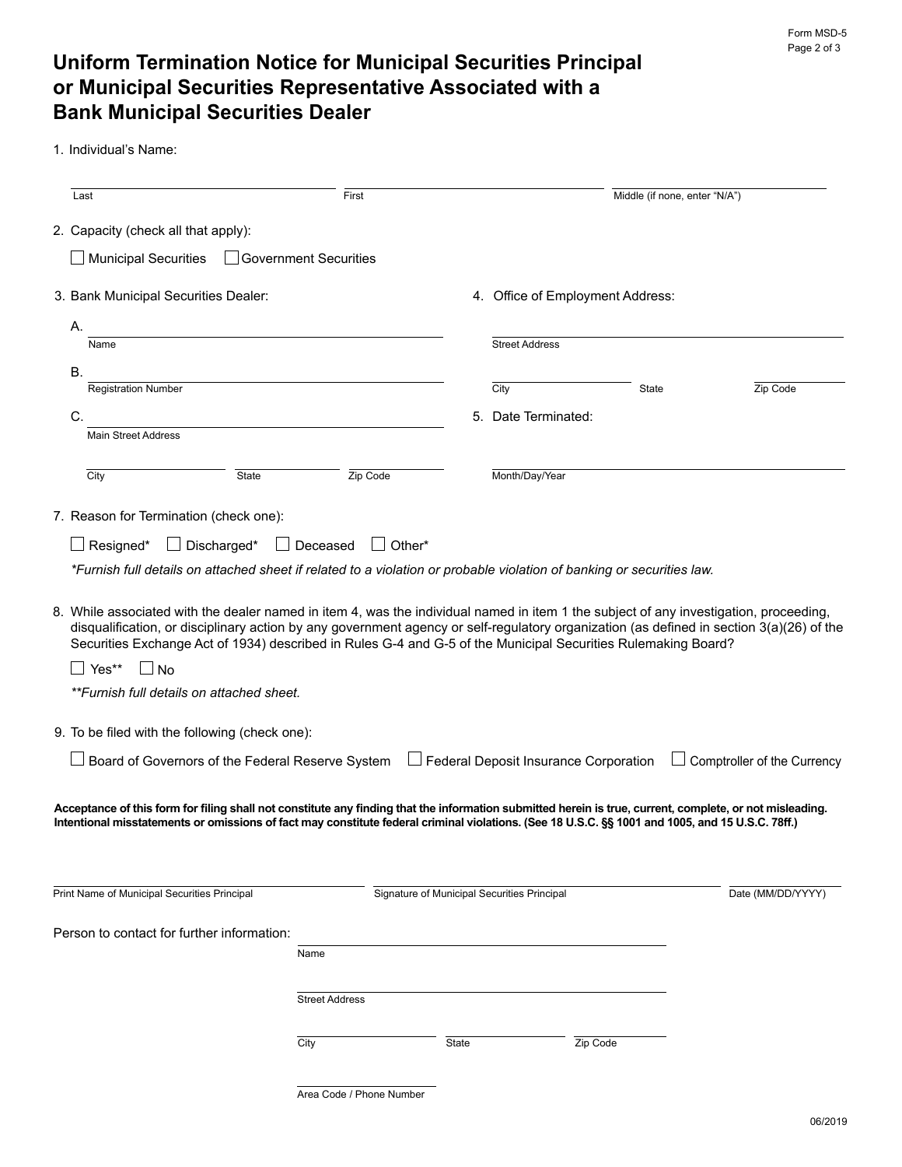# **Uniform Termination Notice for Municipal Securities Principal or Municipal Securities Representative Associated with a Bank Municipal Securities Dealer**

1. Individual's Name:

| Last                                                                                                                                                                                                                                                                                                                              | First                                            |                                             |                                                    | Middle (if none, enter "N/A") |                             |
|-----------------------------------------------------------------------------------------------------------------------------------------------------------------------------------------------------------------------------------------------------------------------------------------------------------------------------------|--------------------------------------------------|---------------------------------------------|----------------------------------------------------|-------------------------------|-----------------------------|
| 2. Capacity (check all that apply):                                                                                                                                                                                                                                                                                               |                                                  |                                             |                                                    |                               |                             |
| $\Box$ Municipal Securities                                                                                                                                                                                                                                                                                                       | $\Box$ Government Securities                     |                                             |                                                    |                               |                             |
| 3. Bank Municipal Securities Dealer:                                                                                                                                                                                                                                                                                              |                                                  |                                             | 4. Office of Employment Address:                   |                               |                             |
| А.                                                                                                                                                                                                                                                                                                                                |                                                  |                                             |                                                    |                               |                             |
| Name                                                                                                                                                                                                                                                                                                                              |                                                  |                                             | <b>Street Address</b>                              |                               |                             |
| В.                                                                                                                                                                                                                                                                                                                                |                                                  |                                             |                                                    |                               |                             |
| <b>Registration Number</b>                                                                                                                                                                                                                                                                                                        |                                                  |                                             | City                                               | State                         | Zip Code                    |
| C.                                                                                                                                                                                                                                                                                                                                |                                                  |                                             | 5. Date Terminated:                                |                               |                             |
| <b>Main Street Address</b>                                                                                                                                                                                                                                                                                                        |                                                  |                                             |                                                    |                               |                             |
| City                                                                                                                                                                                                                                                                                                                              | Zip Code<br><b>State</b>                         |                                             | Month/Day/Year                                     |                               |                             |
| 7. Reason for Termination (check one):                                                                                                                                                                                                                                                                                            |                                                  |                                             |                                                    |                               |                             |
|                                                                                                                                                                                                                                                                                                                                   |                                                  |                                             |                                                    |                               |                             |
| Discharged*<br>Resigned*                                                                                                                                                                                                                                                                                                          | Deceased                                         | $\Box$ Other*                               |                                                    |                               |                             |
| *Furnish full details on attached sheet if related to a violation or probable violation of banking or securities law.                                                                                                                                                                                                             |                                                  |                                             |                                                    |                               |                             |
| disqualification, or disciplinary action by any government agency or self-regulatory organization (as defined in section 3(a)(26) of the<br>Securities Exchange Act of 1934) described in Rules G-4 and G-5 of the Municipal Securities Rulemaking Board?<br>Yes**<br>N <sub>o</sub><br>**Furnish full details on attached sheet. |                                                  |                                             |                                                    |                               |                             |
| 9. To be filed with the following (check one):                                                                                                                                                                                                                                                                                    |                                                  |                                             |                                                    |                               |                             |
|                                                                                                                                                                                                                                                                                                                                   | Board of Governors of the Federal Reserve System |                                             | $\!\!\!\Box$ Federal Deposit Insurance Corporation |                               | Comptroller of the Currency |
| Acceptance of this form for filing shall not constitute any finding that the information submitted herein is true, current, complete, or not misleading.<br>Intentional misstatements or omissions of fact may constitute federal criminal violations. (See 18 U.S.C. §§ 1001 and 1005, and 15 U.S.C. 78ff.)                      |                                                  |                                             |                                                    |                               |                             |
| Print Name of Municipal Securities Principal                                                                                                                                                                                                                                                                                      |                                                  | Signature of Municipal Securities Principal |                                                    |                               | Date (MM/DD/YYYY)           |
|                                                                                                                                                                                                                                                                                                                                   |                                                  |                                             |                                                    |                               |                             |
| Person to contact for further information:                                                                                                                                                                                                                                                                                        |                                                  |                                             |                                                    |                               |                             |
|                                                                                                                                                                                                                                                                                                                                   | Name                                             |                                             |                                                    |                               |                             |
|                                                                                                                                                                                                                                                                                                                                   |                                                  |                                             |                                                    |                               |                             |
|                                                                                                                                                                                                                                                                                                                                   | <b>Street Address</b>                            |                                             |                                                    |                               |                             |
|                                                                                                                                                                                                                                                                                                                                   | City                                             | State                                       | Zip Code                                           |                               |                             |
|                                                                                                                                                                                                                                                                                                                                   |                                                  |                                             |                                                    |                               |                             |
|                                                                                                                                                                                                                                                                                                                                   | Area Code / Phone Number                         |                                             |                                                    |                               |                             |